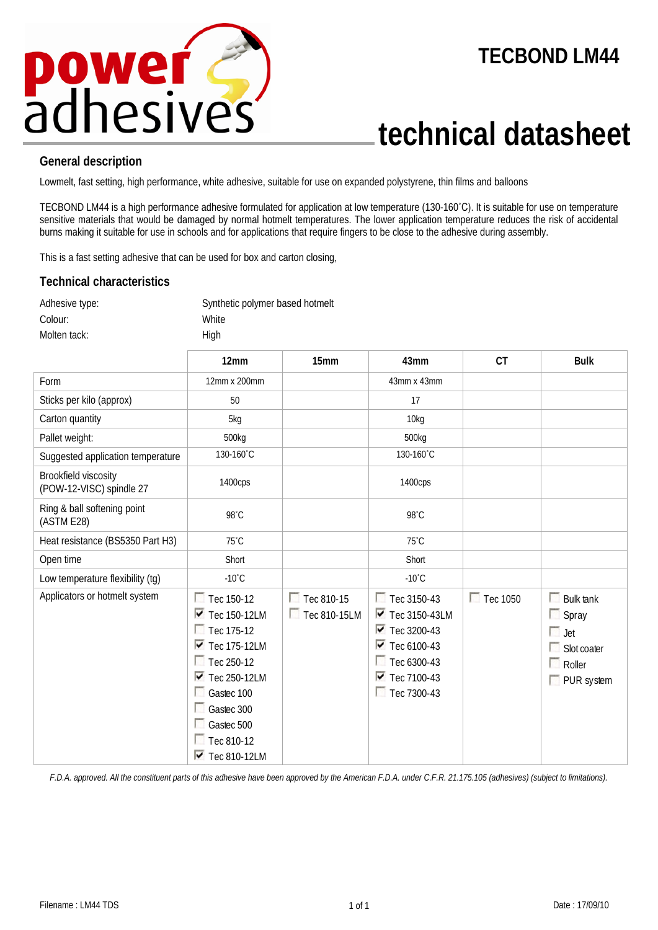

## **TECBOND LM44**

## **technical datasheet**

## **General description**

Lowmelt, fast setting, high performance, white adhesive, suitable for use on expanded polystyrene, thin films and balloons

TECBOND LM44 is a high performance adhesive formulated for application at low temperature (130-160˚C). It is suitable for use on temperature sensitive materials that would be damaged by normal hotmelt temperatures. The lower application temperature reduces the risk of accidental burns making it suitable for use in schools and for applications that require fingers to be close to the adhesive during assembly.

This is a fast setting adhesive that can be used for box and carton closing,

## **Technical characteristics**

| Adhesive type: | Synthetic polymer based hotmelt |
|----------------|---------------------------------|
| Colour:        | White                           |
| Molten tack:   | Hiah                            |

|                                                  | 12mm                                                                                                                                                                                                                                                                              | 15mm                       | 43mm                                                                                                                                                                                                     | <b>CT</b>       | <b>Bulk</b>                                                                                       |
|--------------------------------------------------|-----------------------------------------------------------------------------------------------------------------------------------------------------------------------------------------------------------------------------------------------------------------------------------|----------------------------|----------------------------------------------------------------------------------------------------------------------------------------------------------------------------------------------------------|-----------------|---------------------------------------------------------------------------------------------------|
| Form                                             | 12mm x 200mm                                                                                                                                                                                                                                                                      |                            | 43mm x 43mm                                                                                                                                                                                              |                 |                                                                                                   |
| Sticks per kilo (approx)                         | 50                                                                                                                                                                                                                                                                                |                            | 17                                                                                                                                                                                                       |                 |                                                                                                   |
| Carton quantity                                  | 5kg                                                                                                                                                                                                                                                                               |                            | 10kg                                                                                                                                                                                                     |                 |                                                                                                   |
| Pallet weight:                                   | 500kg                                                                                                                                                                                                                                                                             |                            | 500kg                                                                                                                                                                                                    |                 |                                                                                                   |
| Suggested application temperature                | 130-160°C                                                                                                                                                                                                                                                                         |                            | 130-160°C                                                                                                                                                                                                |                 |                                                                                                   |
| Brookfield viscosity<br>(POW-12-VISC) spindle 27 | 1400cps                                                                                                                                                                                                                                                                           |                            | 1400cps                                                                                                                                                                                                  |                 |                                                                                                   |
| Ring & ball softening point<br>(ASTM E28)        | 98°C                                                                                                                                                                                                                                                                              |                            | 98°C                                                                                                                                                                                                     |                 |                                                                                                   |
| Heat resistance (BS5350 Part H3)                 | $75^{\circ}$ C                                                                                                                                                                                                                                                                    |                            | $75^{\circ}$ C                                                                                                                                                                                           |                 |                                                                                                   |
| Open time                                        | Short                                                                                                                                                                                                                                                                             |                            | Short                                                                                                                                                                                                    |                 |                                                                                                   |
| Low temperature flexibility (tg)                 | $-10^{\circ}$ C                                                                                                                                                                                                                                                                   |                            | $-10^{\circ}$ C                                                                                                                                                                                          |                 |                                                                                                   |
| Applicators or hotmelt system                    | $\Box$ Tec 150-12<br>$\triangledown$ Tec 150-12LM<br>$\Box$ Tec 175-12<br>$\overline{\triangledown}$ Tec 175-12LM<br>$\Box$ Tec 250-12<br>$\overline{\triangledown}$ Tec 250-12LM<br>Gastec 100<br>Gastec 300<br>Gastec 500<br>$\Box$ Tec 810-12<br>$\triangleright$ Tec 810-12LM | Tec 810-15<br>Tec 810-15LM | Tec 3150-43<br>$\triangledown$ Tec 3150-43LM<br>$\overline{\triangledown}$ Tec 3200-43<br>$\overline{\triangledown}$ Tec 6100-43<br>Tec 6300-43<br>$\overline{\triangledown}$ Tec 7100-43<br>Tec 7300-43 | $\Box$ Tec 1050 | <b>Bulk tank</b><br>m<br>$\Box$ Spray<br>$\Box$ Jet<br>Slot coater<br>Roller<br>$\Box$ PUR system |

*F.D.A. approved. All the constituent parts of this adhesive have been approved by the American F.D.A. under C.F.R. 21.175.105 (adhesives) (subject to limitations).*